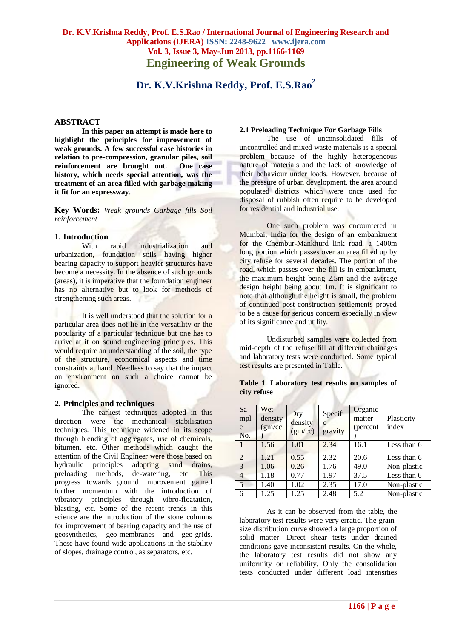## **Dr. K.V.Krishna Reddy, Prof. E.S.Rao / International Journal of Engineering Research and Applications (IJERA) ISSN: 2248-9622 www.ijera.com Vol. 3, Issue 3, May-Jun 2013, pp.1166-1169 Engineering of Weak Grounds**

# **Dr. K.V.Krishna Reddy, Prof. E.S.Rao<sup>2</sup>**

#### **ABSTRACT**

**In this paper an attempt is made here to highlight the principles for improvement of weak grounds. A few successful case histories in relation to pre-compression, granular piles, soil**  reinforcement are brought out. **history, which needs special attention, was the treatment of an area filled with garbage making it fit for an expressway.**

**Key Words:** *Weak grounds Garbage fills Soil reinforcement*

#### **1. Introduction**

With rapid industrialization and urbanization, foundation soils having higher bearing capacity to support heavier structures have become a necessity. In the absence of such grounds (areas), it is imperative that the foundation engineer has no alternative but to look for methods of strengthening such areas.

It is well understood that the solution for a particular area does not lie in the versatility or the popularity of a particular technique but one has to arrive at it on sound engineering principles. This would require an understanding of the soil, the type of the structure, economical aspects and time constraints at hand. Needless to say that the impact on environment on such a choice cannot be ignored.

#### **2. Principles and techniques**

The earliest techniques adopted in this direction were the mechanical stabilisation techniques. This technique widened in its scope through blending of aggregates, use of chemicals, bitumen, etc. Other methods which caught the attention of the Civil Engineer were those based on hydraulic principles adopting sand drains, preloading methods, de-watering, etc. This progress towards ground improvement gained further momentum with the introduction of vibratory principles through vibro-floatation, blasting, etc. Some of the recent trends in this science are the introduction of the stone columns for improvement of bearing capacity and the use of geosynthetics, geo-membranes and geo-grids. These have found wide applications in the stability of slopes, drainage control, as separators, etc.

#### **2.1 Preloading Technique For Garbage Fills**

The use of unconsolidated fills of uncontrolled and mixed waste materials is a special problem because of the highly heterogeneous nature of materials and the lack of knowledge of their behaviour under loads. However, because of the pressure of urban development, the area around populated districts which were once used for disposal of rubbish often require to be developed for residential and industrial use.

One such problem was encountered in Mumbai, India for the design of an embankment for the Chembur-Mankhurd link road, a 1400m long portion which passes over an area filled up by city refuse for several decades. The portion of the road, which passes over the fill is in embankment, the maximum height being 2.5m and the average design height being about 1m. It is significant to note that although the height is small, the problem of continued post-construction settlements proved to be a cause for serious concern especially in view of its significance and utility.

Undisturbed samples were collected from mid-depth of the refuse fill at different chainages and laboratory tests were conducted. Some typical test results are presented in Table.

| Sa<br>mpl<br>e<br>No. | Wet<br>density<br>(gm/cc | Dry<br>density<br>(gm/cc) | Specifi<br>с<br>gravity | Organic<br>matter<br>(percent | Plasticity<br>index |
|-----------------------|--------------------------|---------------------------|-------------------------|-------------------------------|---------------------|
|                       | 1.56                     | 1.01                      | 2.34                    | 16.1                          | Less than 6         |
| $\overline{2}$        | 1.21                     | 0.55                      | 2.32                    | 20.6                          | Less than 6         |
| $\overline{3}$        | 1.06                     | 0.26                      | 1.76                    | 49.0                          | Non-plastic         |
| $\overline{4}$        | 1.18                     | 0.77                      | 1.97                    | 37.5                          | Less than 6         |
| $\overline{5}$        | 1.40                     | 1.02                      | 2.35                    | 17.0                          | Non-plastic         |
| 6                     | 1.25                     | 1.25                      | 2.48                    | 5.2                           | Non-plastic         |

**Table 1. Laboratory test results on samples of city refuse**

As it can be observed from the table, the laboratory test results were very erratic. The grainsize distribution curve showed a large proportion of solid matter. Direct shear tests under drained conditions gave inconsistent results. On the whole, the laboratory test results did not show any uniformity or reliability. Only the consolidation tests conducted under different load intensities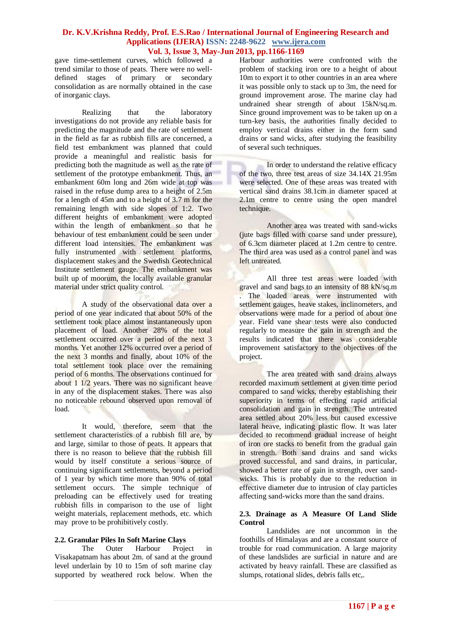### **Dr. K.V.Krishna Reddy, Prof. E.S.Rao / International Journal of Engineering Research and Applications (IJERA) ISSN: 2248-9622 www.ijera.com Vol. 3, Issue 3, May-Jun 2013, pp.1166-1169**

gave time-settlement curves, which followed a trend similar to those of peats. There were no welldefined stages of primary or secondary consolidation as are normally obtained in the case of inorganic clays.

Realizing that the laboratory investigations do not provide any reliable basis for predicting the magnitude and the rate of settlement in the field as far as rubbish fills are concerned, a field test embankment was planned that could provide a meaningful and realistic basis for predicting both the magnitude as well as the rate of settlement of the prototype embankment. Thus, an embankment 60m long and 26m wide at top was raised in the refuse dump area to a height of 2.5m for a length of 45m and to a height of 3.7 m for the remaining length with side slopes of 1:2. Two different heights of embankment were adopted within the length of embankment so that he behaviour of test embankment could be seen under different load intensities. The embankment was fully instrumented with settlement platforms, displacement stakes and the Swedish Geotechnical Institute settlement gauge. The embankment was built up of moorum, the locally available granular material under strict quality control.

A study of the observational data over a period of one year indicated that about 50% of the settlement took place almost instantaneously upon placement of load. Another 28% of the total settlement occurred over a period of the next 3 months. Yet another 12% occurred over a period of the next 3 months and finally, about 10% of the total settlement took place over the remaining period of 6 months. The observations continued for about 1 1/2 years. There was no significant heave in any of the displacement stakes. There was also no noticeable rebound observed upon removal of load.

It would, therefore, seem that the settlement characteristics of a rubbish fill are, by and large, similar to those of peats. It appears that there is no reason to believe that the rubbish fill would by itself constitute a serious source of continuing significant settlements, beyond a period of 1 year by which time more than 90% of total settlement occurs. The simple technique of preloading can be effectively used for treating rubbish fills in comparison to the use of light weight materials, replacement methods, etc. which may prove to be prohibitively costly.

#### **2.2. Granular Piles In Soft Marine Clays**

The Outer Harbour Project in Visakapatnam has about 2m. of sand at the ground level underlain by 10 to 15m of soft marine clay supported by weathered rock below. When the Harbour authorities were confronted with the problem of stacking iron ore to a height of about 10m to export it to other countries in an area where it was possible only to stack up to 3m, the need for ground improvement arose. The marine clay had undrained shear strength of about 15kN/sq.m. Since ground improvement was to be taken up on a turn-key basis, the authorities finally decided to employ vertical drains either in the form sand drains or sand wicks, after studying the feasibility of several such techniques.

In order to understand the relative efficacy of the two, three test areas of size 34.14X 21.95m were selected. One of these areas was treated with vertical sand drains 38.1cm in diameter spaced at 2.1m centre to centre using the open mandrel technique.

Another area was treated with sand-wicks (jute bags filled with coarse sand under pressure), of 6.3cm diameter placed at 1.2m centre to centre. The third area was used as a control panel and was left untreated.

All three test areas were loaded with gravel and sand bags to an intensity of 88 kN/sq.m The loaded areas were instrumented with settlement gauges, heave stakes, inclinometers, and observations were made for a period of about one year. Field vane shear tests were also conducted regularly to measure the gain in strength and the results indicated that there was considerable improvement satisfactory to the objectives of the project.

The area treated with sand drains always recorded maximum settlement at given time period compared to sand wicks, thereby establishing their superiority in terms of effecting rapid artificial consolidation and gain in strength. The untreated area settled about 20% less but caused excessive lateral heave, indicating plastic flow. It was later decided to recommend gradual increase of height of iron ore stacks to benefit from the gradual gain in strength. Both sand drains and sand wicks proved successful, and sand drains, in particular, showed a better rate of gain in strength, over sandwicks. This is probably due to the reduction in effective diameter due to intrusion of clay particles affecting sand-wicks more than the sand drains.

#### **2.3. Drainage as A Measure Of Land Slide Control**

Landslides are not uncommon in the foothills of Himalayas and are a constant source of trouble for road communication. A large majority of these landslides are surficial in nature and are activated by heavy rainfall. These are classified as slumps, rotational slides, debris falls etc,.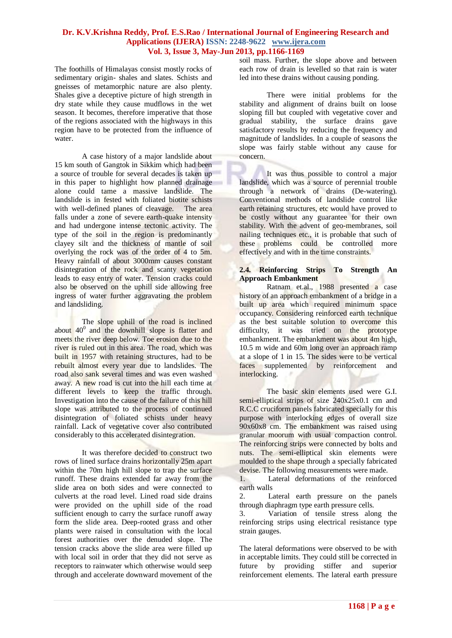## **Dr. K.V.Krishna Reddy, Prof. E.S.Rao / International Journal of Engineering Research and Applications (IJERA) ISSN: 2248-9622 www.ijera.com Vol. 3, Issue 3, May-Jun 2013, pp.1166-1169**

The foothills of Himalayas consist mostly rocks of sedimentary origin- shales and slates. Schists and gneisses of metamorphic nature are also plenty. Shales give a deceptive picture of high strength in dry state while they cause mudflows in the wet season. It becomes, therefore imperative that those of the regions associated with the highways in this region have to be protected from the influence of water.

A case history of a major landslide about 15 km south of Gangtok in Sikkim which had been a source of trouble for several decades is taken up in this paper to highlight how planned drainage alone could tame a massive landslide. The landslide is in fested with foliated biotite schists with well-defined planes of cleavage. The area falls under a zone of severe earth-quake intensity and had undergone intense tectonic activity. The type of the soil in the region is predominantly clayey silt and the thickness of mantle of soil overlying the rock was of the order of 4 to 5m. Heavy rainfall of about 3000mm causes constant disintegration of the rock and scanty vegetation leads to easy entry of water. Tension cracks could also be observed on the uphill side allowing free ingress of water further aggravating the problem and landsliding.

The slope uphill of the road is inclined about  $40^0$  and the downhill slope is flatter and meets the river deep below. Toe erosion due to the river is ruled out in this area. The road, which was built in 1957 with retaining structures, had to be rebuilt almost every year due to landslides. The road also sank several times and was even washed away. A new road is cut into the hill each time at different levels to keep the traffic through. Investigation into the cause of the failure of this hill slope was attributed to the process of continued disintegration of foliated schists under heavy rainfall. Lack of vegetative cover also contributed considerably to this accelerated disintegration.

It was therefore decided to construct two rows of lined surface drains horizontally 25m apart within the 70m high hill slope to trap the surface runoff. These drains extended far away from the slide area on both sides and were connected to culverts at the road level. Lined road side drains were provided on the uphill side of the road sufficient enough to carry the surface runoff away form the slide area. Deep-rooted grass and other plants were raised in consultation with the local forest authorities over the denuded slope. The tension cracks above the slide area were filled up with local soil in order that they did not serve as receptors to rainwater which otherwise would seep through and accelerate downward movement of the

soil mass. Further, the slope above and between each row of drain is levelled so that rain is water led into these drains without causing ponding.

There were initial problems for the stability and alignment of drains built on loose sloping fill but coupled with vegetative cover and gradual stability, the surface drains gave satisfactory results by reducing the frequency and magnitude of landslides. In a couple of seasons the slope was fairly stable without any cause for concern.

It was thus possible to control a major landslide, which was a source of perennial trouble through a network of drains (De-watering). Conventional methods of landslide control like earth retaining structures, etc would have proved to be costly without any guarantee for their own stability. With the advent of geo-membranes, soil nailing techniques etc., it is probable that such of these problems could be controlled more effectively and with in the time constraints.

#### **2.4. Reinforcing Strips To Strength An Approach Embankment**

Ratnam et.al., 1988 presented a case history of an approach embankment of a bridge in a built up area which required minimum space occupancy. Considering reinforced earth technique as the best suitable solution to overcome this difficulty, it was tried on the prototype embankment. The embankment was about 4m high, 10.5 m wide and 60m long over an approach ramp at a slope of 1 in 15. The sides were to be vertical faces supplemented by reinforcement and interlocking.

The basic skin elements used were G.I. semi-elliptical strips of size 240x25x0.1 cm and R.C.C cruciform panels fabricated specially for this purpose with interlocking edges of overall size 90x60x8 cm. The embankment was raised using granular moorum with usual compaction control. The reinforcing strips were connected by bolts and nuts. The semi-elliptical skin elements were moulded to the shape through a specially fabricated devise. The following measurements were made.

1. Lateral deformations of the reinforced earth walls

2. Lateral earth pressure on the panels through diaphragm type earth pressure cells.

3. Variation of tensile stress along the reinforcing strips using electrical resistance type strain gauges.

The lateral deformations were observed to be with in acceptable limits. They could still be corrected in future by providing stiffer and superior reinforcement elements. The lateral earth pressure